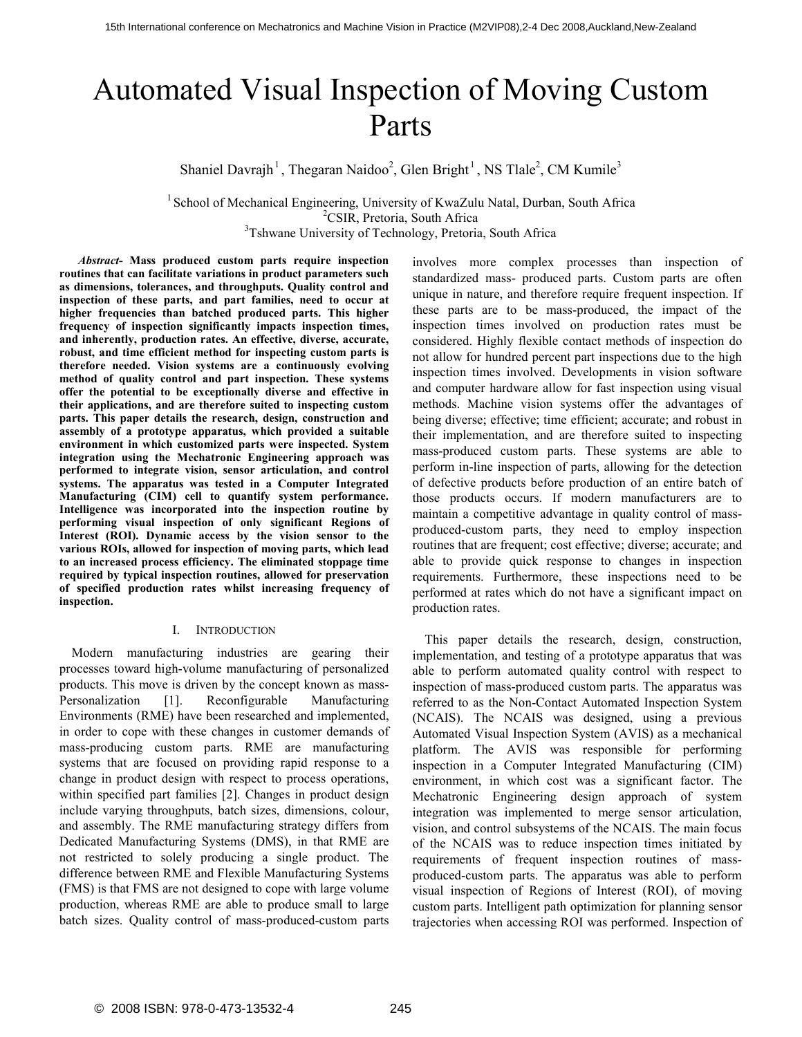# Automated Visual Inspection of Moving Custom Parts

Shaniel Davrajh<sup>1</sup>, Thegaran Naidoo<sup>2</sup>, Glen Bright<sup>1</sup>, NS Tlale<sup>2</sup>, CM Kumile<sup>3</sup>

<sup>1</sup> School of Mechanical Engineering, University of KwaZulu Natal, Durban, South Africa  ${}^{2}CSIR$ , Pretoria, South Africa Tshwane University of Technology, Pretoria, South Africa

*Abstract-* **Mass produced custom parts require inspection routines that can facilitate variations in product parameters such as dimensions, tolerances, and throughputs. Quality control and inspection of these parts, and part families, need to occur at higher frequencies than batched produced parts. This higher frequency of inspection significantly impacts inspection times, and inherently, production rates. An effective, diverse, accurate, robust, and time efficient method for inspecting custom parts is therefore needed. Vision systems are a continuously evolving method of quality control and part inspection. These systems offer the potential to be exceptionally diverse and effective in their applications, and are therefore suited to inspecting custom parts. This paper details the research, design, construction and assembly of a prototype apparatus, which provided a suitable environment in which customized parts were inspected. System integration using the Mechatronic Engineering approach was performed to integrate vision, sensor articulation, and control systems. The apparatus was tested in a Computer Integrated Manufacturing (CIM) cell to quantify system performance. Intelligence was incorporated into the inspection routine by performing visual inspection of only significant Regions of Interest (ROI). Dynamic access by the vision sensor to the various ROIs, allowed for inspection of moving parts, which lead to an increased process efficiency. The eliminated stoppage time required by typical inspection routines, allowed for preservation of specified production rates whilst increasing frequency of inspection.** 

# I. INTRODUCTION

Modern manufacturing industries are gearing their processes toward high-volume manufacturing of personalized products. This move is driven by the concept known as mass-Personalization [1]. Reconfigurable Manufacturing Environments (RME) have been researched and implemented, in order to cope with these changes in customer demands of mass-producing custom parts. RME are manufacturing systems that are focused on providing rapid response to a change in product design with respect to process operations, within specified part families [2]. Changes in product design include varying throughputs, batch sizes, dimensions, colour, and assembly. The RME manufacturing strategy differs from Dedicated Manufacturing Systems (DMS), in that RME are not restricted to solely producing a single product. The difference between RME and Flexible Manufacturing Systems (FMS) is that FMS are not designed to cope with large volume production, whereas RME are able to produce small to large batch sizes. Quality control of mass-produced-custom parts

involves more complex processes than inspection of standardized mass- produced parts. Custom parts are often unique in nature, and therefore require frequent inspection. If these parts are to be mass-produced, the impact of the inspection times involved on production rates must be considered. Highly flexible contact methods of inspection do not allow for hundred percent part inspections due to the high inspection times involved. Developments in vision software and computer hardware allow for fast inspection using visual methods. Machine vision systems offer the advantages of being diverse; effective; time efficient; accurate; and robust in their implementation, and are therefore suited to inspecting mass-produced custom parts. These systems are able to perform in-line inspection of parts, allowing for the detection of defective products before production of an entire batch of those products occurs. If modern manufacturers are to maintain a competitive advantage in quality control of massproduced-custom parts, they need to employ inspection routines that are frequent; cost effective; diverse; accurate; and able to provide quick response to changes in inspection requirements. Furthermore, these inspections need to be performed at rates which do not have a significant impact on production rates.

This paper details the research, design, construction, implementation, and testing of a prototype apparatus that was able to perform automated quality control with respect to inspection of mass-produced custom parts. The apparatus was referred to as the Non-Contact Automated Inspection System (NCAIS). The NCAIS was designed, using a previous Automated Visual Inspection System (AVIS) as a mechanical platform. The AVIS was responsible for performing inspection in a Computer Integrated Manufacturing (CIM) environment, in which cost was a significant factor. The Mechatronic Engineering design approach of system integration was implemented to merge sensor articulation, vision, and control subsystems of the NCAIS. The main focus of the NCAIS was to reduce inspection times initiated by requirements of frequent inspection routines of massproduced-custom parts. The apparatus was able to perform visual inspection of Regions of Interest (ROI), of moving custom parts. Intelligent path optimization for planning sensor trajectories when accessing ROI was performed. Inspection of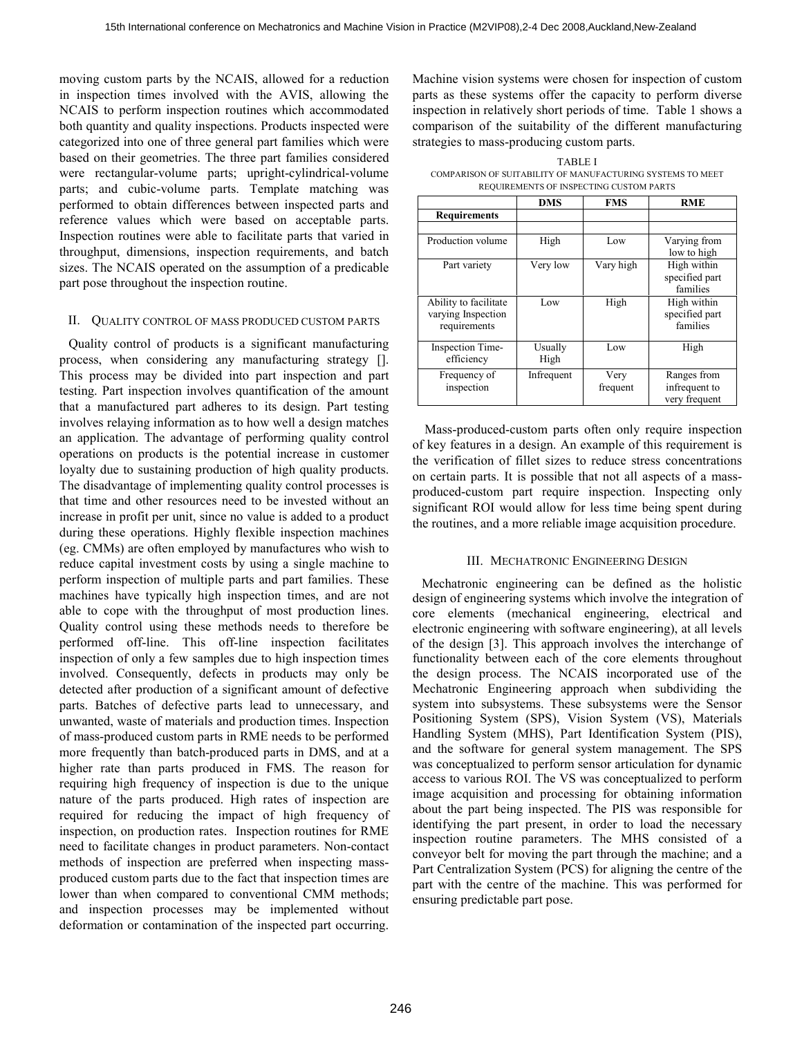moving custom parts by the NCAIS, allowed for a reduction in inspection times involved with the AVIS, allowing the NCAIS to perform inspection routines which accommodated both quantity and quality inspections. Products inspected were categorized into one of three general part families which were based on their geometries. The three part families considered were rectangular-volume parts; upright-cylindrical-volume parts; and cubic-volume parts. Template matching was performed to obtain differences between inspected parts and reference values which were based on acceptable parts. Inspection routines were able to facilitate parts that varied in throughput, dimensions, inspection requirements, and batch sizes. The NCAIS operated on the assumption of a predicable part pose throughout the inspection routine.

## II. QUALITY CONTROL OF MASS PRODUCED CUSTOM PARTS

Quality control of products is a significant manufacturing process, when considering any manufacturing strategy []. This process may be divided into part inspection and part testing. Part inspection involves quantification of the amount that a manufactured part adheres to its design. Part testing involves relaying information as to how well a design matches an application. The advantage of performing quality control operations on products is the potential increase in customer loyalty due to sustaining production of high quality products. The disadvantage of implementing quality control processes is that time and other resources need to be invested without an increase in profit per unit, since no value is added to a product during these operations. Highly flexible inspection machines (eg. CMMs) are often employed by manufactures who wish to reduce capital investment costs by using a single machine to perform inspection of multiple parts and part families. These machines have typically high inspection times, and are not able to cope with the throughput of most production lines. Quality control using these methods needs to therefore be performed off-line. This off-line inspection facilitates inspection of only a few samples due to high inspection times involved. Consequently, defects in products may only be detected after production of a significant amount of defective parts. Batches of defective parts lead to unnecessary, and unwanted, waste of materials and production times. Inspection of mass-produced custom parts in RME needs to be performed more frequently than batch-produced parts in DMS, and at a higher rate than parts produced in FMS. The reason for requiring high frequency of inspection is due to the unique nature of the parts produced. High rates of inspection are required for reducing the impact of high frequency of inspection, on production rates. Inspection routines for RME need to facilitate changes in product parameters. Non-contact methods of inspection are preferred when inspecting massproduced custom parts due to the fact that inspection times are lower than when compared to conventional CMM methods; and inspection processes may be implemented without deformation or contamination of the inspected part occurring.

Machine vision systems were chosen for inspection of custom parts as these systems offer the capacity to perform diverse inspection in relatively short periods of time. Table 1 shows a comparison of the suitability of the different manufacturing strategies to mass-producing custom parts.

TABLE I COMPARISON OF SUITABILITY OF MANUFACTURING SYSTEMS TO MEET REQUIREMENTS OF INSPECTING CUSTOM PARTS

|                                                             | <b>DMS</b>      | <b>FMS</b>       | <b>RME</b>                                    |
|-------------------------------------------------------------|-----------------|------------------|-----------------------------------------------|
| <b>Requirements</b>                                         |                 |                  |                                               |
| Production volume                                           | High            | Low              | Varying from<br>low to high                   |
| Part variety                                                | Very low        | Vary high        | High within<br>specified part<br>families     |
| Ability to facilitate<br>varying Inspection<br>requirements | Low             | High             | High within<br>specified part<br>families     |
| Inspection Time-<br>efficiency                              | Usually<br>High | Low              | High                                          |
| Frequency of<br>inspection                                  | Infrequent      | Very<br>frequent | Ranges from<br>infrequent to<br>very frequent |

Mass-produced-custom parts often only require inspection of key features in a design. An example of this requirement is the verification of fillet sizes to reduce stress concentrations on certain parts. It is possible that not all aspects of a massproduced-custom part require inspection. Inspecting only significant ROI would allow for less time being spent during the routines, and a more reliable image acquisition procedure.

# III. MECHATRONIC ENGINEERING DESIGN

Mechatronic engineering can be defined as the holistic design of engineering systems which involve the integration of core elements (mechanical engineering, electrical and electronic engineering with software engineering), at all levels of the design [3]. This approach involves the interchange of functionality between each of the core elements throughout the design process. The NCAIS incorporated use of the Mechatronic Engineering approach when subdividing the system into subsystems. These subsystems were the Sensor Positioning System (SPS), Vision System (VS), Materials Handling System (MHS), Part Identification System (PIS), and the software for general system management. The SPS was conceptualized to perform sensor articulation for dynamic access to various ROI. The VS was conceptualized to perform image acquisition and processing for obtaining information about the part being inspected. The PIS was responsible for identifying the part present, in order to load the necessary inspection routine parameters. The MHS consisted of a conveyor belt for moving the part through the machine; and a Part Centralization System (PCS) for aligning the centre of the part with the centre of the machine. This was performed for ensuring predictable part pose.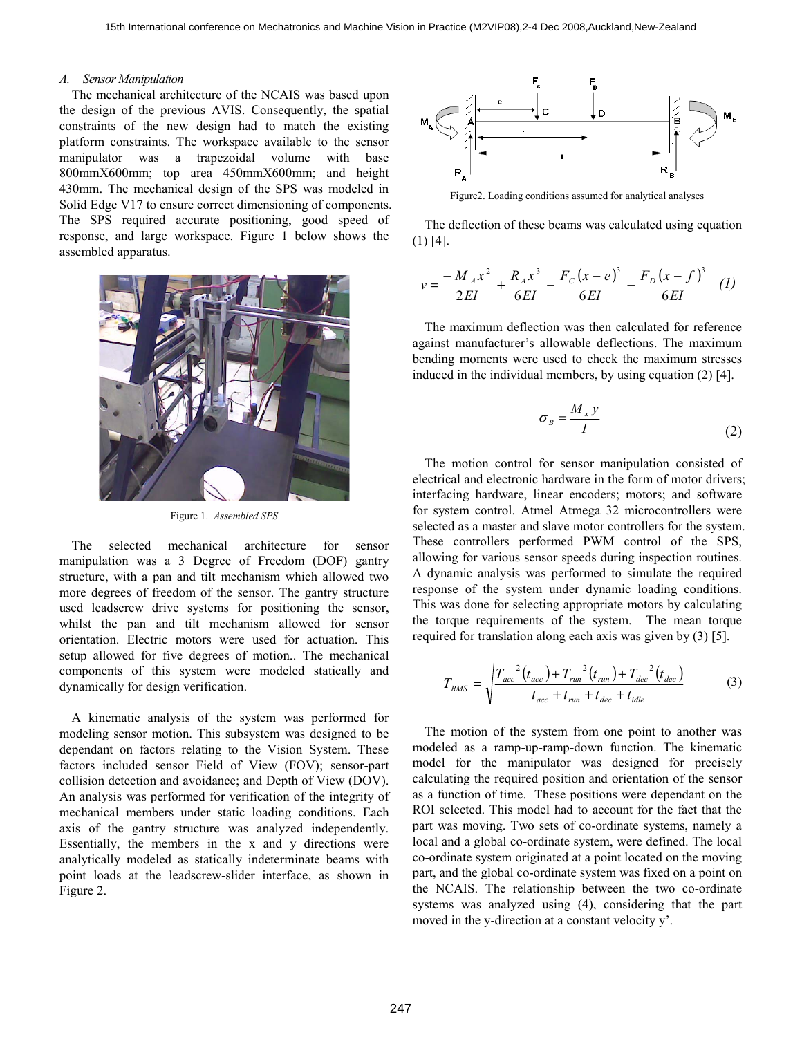#### *A. Sensor Manipulation*

The mechanical architecture of the NCAIS was based upon the design of the previous AVIS. Consequently, the spatial constraints of the new design had to match the existing platform constraints. The workspace available to the sensor manipulator was a trapezoidal volume with base 800mmX600mm; top area 450mmX600mm; and height 430mm. The mechanical design of the SPS was modeled in Solid Edge V17 to ensure correct dimensioning of components. The SPS required accurate positioning, good speed of response, and large workspace. Figure 1 below shows the assembled apparatus.



Figure 1. *Assembled SPS* 

The selected mechanical architecture for sensor manipulation was a 3 Degree of Freedom (DOF) gantry structure, with a pan and tilt mechanism which allowed two more degrees of freedom of the sensor. The gantry structure used leadscrew drive systems for positioning the sensor, whilst the pan and tilt mechanism allowed for sensor orientation. Electric motors were used for actuation. This setup allowed for five degrees of motion.. The mechanical components of this system were modeled statically and dynamically for design verification.

A kinematic analysis of the system was performed for modeling sensor motion. This subsystem was designed to be dependant on factors relating to the Vision System. These factors included sensor Field of View (FOV); sensor-part collision detection and avoidance; and Depth of View (DOV). An analysis was performed for verification of the integrity of mechanical members under static loading conditions. Each axis of the gantry structure was analyzed independently. Essentially, the members in the x and y directions were analytically modeled as statically indeterminate beams with point loads at the leadscrew-slider interface, as shown in Figure 2.



Figure2. Loading conditions assumed for analytical analyses

The deflection of these beams was calculated using equation  $(1)$  [4].

$$
v = \frac{-M_A x^2}{2EI} + \frac{R_A x^3}{6EI} - \frac{F_C (x - e)^3}{6EI} - \frac{F_D (x - f)^3}{6EI} \quad (1)
$$

The maximum deflection was then calculated for reference against manufacturer's allowable deflections. The maximum bending moments were used to check the maximum stresses induced in the individual members, by using equation (2) [4].

$$
\sigma_{B} = \frac{M_{x} y}{I}
$$
 (2)

The motion control for sensor manipulation consisted of electrical and electronic hardware in the form of motor drivers; interfacing hardware, linear encoders; motors; and software for system control. Atmel Atmega 32 microcontrollers were selected as a master and slave motor controllers for the system. These controllers performed PWM control of the SPS, allowing for various sensor speeds during inspection routines. A dynamic analysis was performed to simulate the required response of the system under dynamic loading conditions. This was done for selecting appropriate motors by calculating the torque requirements of the system. The mean torque required for translation along each axis was given by (3) [5].

$$
T_{RMS} = \sqrt{\frac{T_{acc}^{2}(t_{acc}) + T_{run}^{2}(t_{run}) + T_{dec}^{2}(t_{dec})}{t_{acc} + t_{run} + t_{dec} + t_{idle}}}
$$
(3)

The motion of the system from one point to another was modeled as a ramp-up-ramp-down function. The kinematic model for the manipulator was designed for precisely calculating the required position and orientation of the sensor as a function of time. These positions were dependant on the ROI selected. This model had to account for the fact that the part was moving. Two sets of co-ordinate systems, namely a local and a global co-ordinate system, were defined. The local co-ordinate system originated at a point located on the moving part, and the global co-ordinate system was fixed on a point on the NCAIS. The relationship between the two co-ordinate systems was analyzed using (4), considering that the part moved in the y-direction at a constant velocity y'.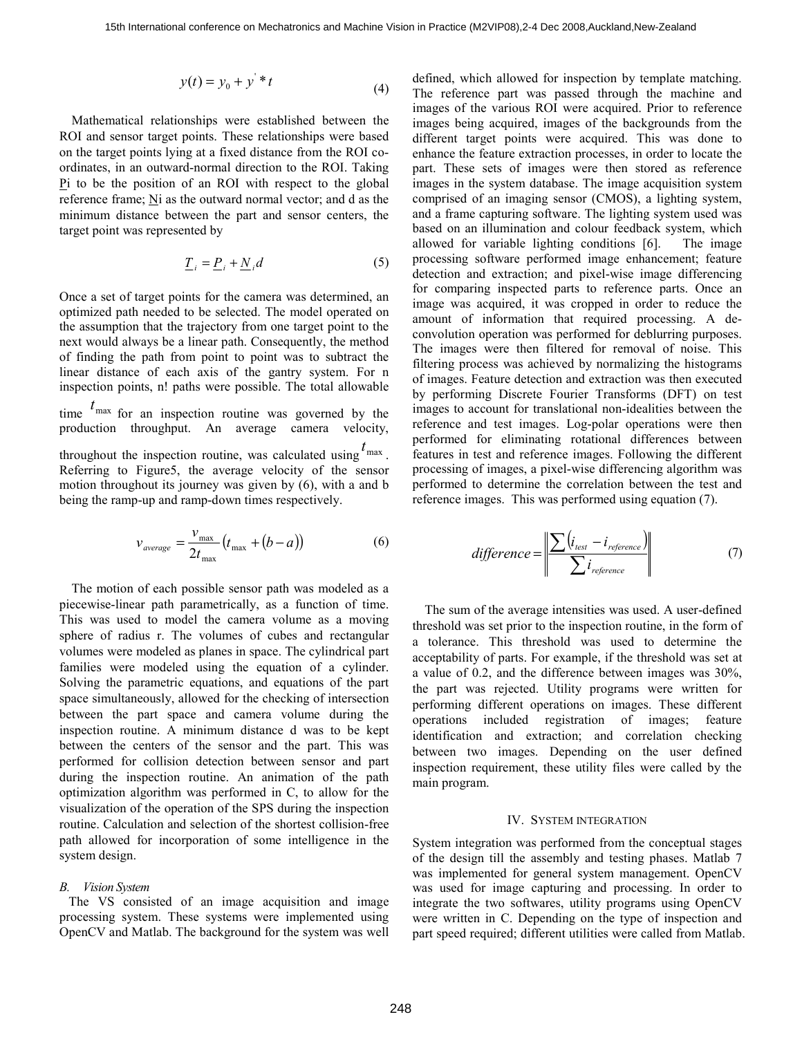$$
y(t) = y_0 + y^* t \tag{4}
$$

Mathematical relationships were established between the ROI and sensor target points. These relationships were based on the target points lying at a fixed distance from the ROI coordinates, in an outward-normal direction to the ROI. Taking Pi to be the position of an ROI with respect to the global reference frame; Ni as the outward normal vector; and d as the minimum distance between the part and sensor centers, the target point was represented by

$$
\underline{T}_i = \underline{P}_i + \underline{N}_i d \tag{5}
$$

Once a set of target points for the camera was determined, an optimized path needed to be selected. The model operated on the assumption that the trajectory from one target point to the next would always be a linear path. Consequently, the method of finding the path from point to point was to subtract the linear distance of each axis of the gantry system. For n inspection points, n! paths were possible. The total allowable time  $I_{\text{max}}$  for an inspection routine was governed by the

production throughput. An average camera velocity, throughout the inspection routine, was calculated using  $t_{\text{max}}$ . Referring to Figure5, the average velocity of the sensor motion throughout its journey was given by (6), with a and b being the ramp-up and ramp-down times respectively.

$$
v_{average} = \frac{v_{max}}{2t_{max}}(t_{max} + (b - a))
$$
 (6)

The motion of each possible sensor path was modeled as a piecewise-linear path parametrically, as a function of time. This was used to model the camera volume as a moving sphere of radius r. The volumes of cubes and rectangular volumes were modeled as planes in space. The cylindrical part families were modeled using the equation of a cylinder. Solving the parametric equations, and equations of the part space simultaneously, allowed for the checking of intersection between the part space and camera volume during the inspection routine. A minimum distance d was to be kept between the centers of the sensor and the part. This was performed for collision detection between sensor and part during the inspection routine. An animation of the path optimization algorithm was performed in C, to allow for the visualization of the operation of the SPS during the inspection routine. Calculation and selection of the shortest collision-free path allowed for incorporation of some intelligence in the system design.

#### *B. Vision System*

The VS consisted of an image acquisition and image processing system. These systems were implemented using OpenCV and Matlab. The background for the system was well defined, which allowed for inspection by template matching. The reference part was passed through the machine and images of the various ROI were acquired. Prior to reference images being acquired, images of the backgrounds from the different target points were acquired. This was done to enhance the feature extraction processes, in order to locate the part. These sets of images were then stored as reference images in the system database. The image acquisition system comprised of an imaging sensor (CMOS), a lighting system, and a frame capturing software. The lighting system used was based on an illumination and colour feedback system, which allowed for variable lighting conditions [6]. The image processing software performed image enhancement; feature detection and extraction; and pixel-wise image differencing for comparing inspected parts to reference parts. Once an image was acquired, it was cropped in order to reduce the amount of information that required processing. A deconvolution operation was performed for deblurring purposes. The images were then filtered for removal of noise. This filtering process was achieved by normalizing the histograms of images. Feature detection and extraction was then executed by performing Discrete Fourier Transforms (DFT) on test images to account for translational non-idealities between the reference and test images. Log-polar operations were then performed for eliminating rotational differences between features in test and reference images. Following the different processing of images, a pixel-wise differencing algorithm was performed to determine the correlation between the test and reference images. This was performed using equation (7).

$$
difference = \left\| \frac{\sum (i_{test} - i_{reference})}{\sum i_{reference}} \right\| \tag{7}
$$

The sum of the average intensities was used. A user-defined threshold was set prior to the inspection routine, in the form of a tolerance. This threshold was used to determine the acceptability of parts. For example, if the threshold was set at a value of 0.2, and the difference between images was 30%, the part was rejected. Utility programs were written for performing different operations on images. These different operations included registration of images; feature identification and extraction; and correlation checking between two images. Depending on the user defined inspection requirement, these utility files were called by the main program.

# IV. SYSTEM INTEGRATION

System integration was performed from the conceptual stages of the design till the assembly and testing phases. Matlab 7 was implemented for general system management. OpenCV was used for image capturing and processing. In order to integrate the two softwares, utility programs using OpenCV were written in C. Depending on the type of inspection and part speed required; different utilities were called from Matlab.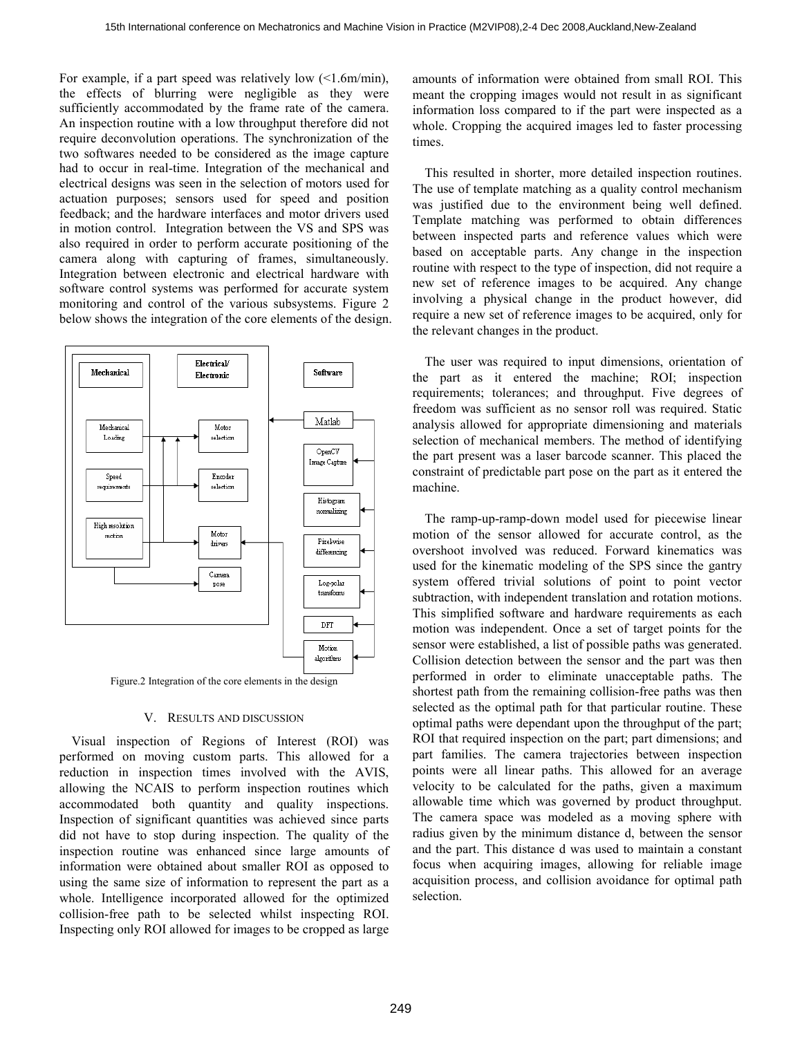For example, if a part speed was relatively low  $(1.6m/min)$ , the effects of blurring were negligible as they were sufficiently accommodated by the frame rate of the camera. An inspection routine with a low throughput therefore did not require deconvolution operations. The synchronization of the two softwares needed to be considered as the image capture had to occur in real-time. Integration of the mechanical and electrical designs was seen in the selection of motors used for actuation purposes; sensors used for speed and position feedback; and the hardware interfaces and motor drivers used in motion control. Integration between the VS and SPS was also required in order to perform accurate positioning of the camera along with capturing of frames, simultaneously. Integration between electronic and electrical hardware with software control systems was performed for accurate system monitoring and control of the various subsystems. Figure 2 below shows the integration of the core elements of the design.



Figure.2 Integration of the core elements in the design

#### V. RESULTS AND DISCUSSION

Visual inspection of Regions of Interest (ROI) was performed on moving custom parts. This allowed for a reduction in inspection times involved with the AVIS, allowing the NCAIS to perform inspection routines which accommodated both quantity and quality inspections. Inspection of significant quantities was achieved since parts did not have to stop during inspection. The quality of the inspection routine was enhanced since large amounts of information were obtained about smaller ROI as opposed to using the same size of information to represent the part as a whole. Intelligence incorporated allowed for the optimized collision-free path to be selected whilst inspecting ROI. Inspecting only ROI allowed for images to be cropped as large

amounts of information were obtained from small ROI. This meant the cropping images would not result in as significant information loss compared to if the part were inspected as a whole. Cropping the acquired images led to faster processing times.

This resulted in shorter, more detailed inspection routines. The use of template matching as a quality control mechanism was justified due to the environment being well defined. Template matching was performed to obtain differences between inspected parts and reference values which were based on acceptable parts. Any change in the inspection routine with respect to the type of inspection, did not require a new set of reference images to be acquired. Any change involving a physical change in the product however, did require a new set of reference images to be acquired, only for the relevant changes in the product.

The user was required to input dimensions, orientation of the part as it entered the machine; ROI; inspection requirements; tolerances; and throughput. Five degrees of freedom was sufficient as no sensor roll was required. Static analysis allowed for appropriate dimensioning and materials selection of mechanical members. The method of identifying the part present was a laser barcode scanner. This placed the constraint of predictable part pose on the part as it entered the machine.

The ramp-up-ramp-down model used for piecewise linear motion of the sensor allowed for accurate control, as the overshoot involved was reduced. Forward kinematics was used for the kinematic modeling of the SPS since the gantry system offered trivial solutions of point to point vector subtraction, with independent translation and rotation motions. This simplified software and hardware requirements as each motion was independent. Once a set of target points for the sensor were established, a list of possible paths was generated. Collision detection between the sensor and the part was then performed in order to eliminate unacceptable paths. The shortest path from the remaining collision-free paths was then selected as the optimal path for that particular routine. These optimal paths were dependant upon the throughput of the part; ROI that required inspection on the part; part dimensions; and part families. The camera trajectories between inspection points were all linear paths. This allowed for an average velocity to be calculated for the paths, given a maximum allowable time which was governed by product throughput. The camera space was modeled as a moving sphere with radius given by the minimum distance d, between the sensor and the part. This distance d was used to maintain a constant focus when acquiring images, allowing for reliable image acquisition process, and collision avoidance for optimal path selection.